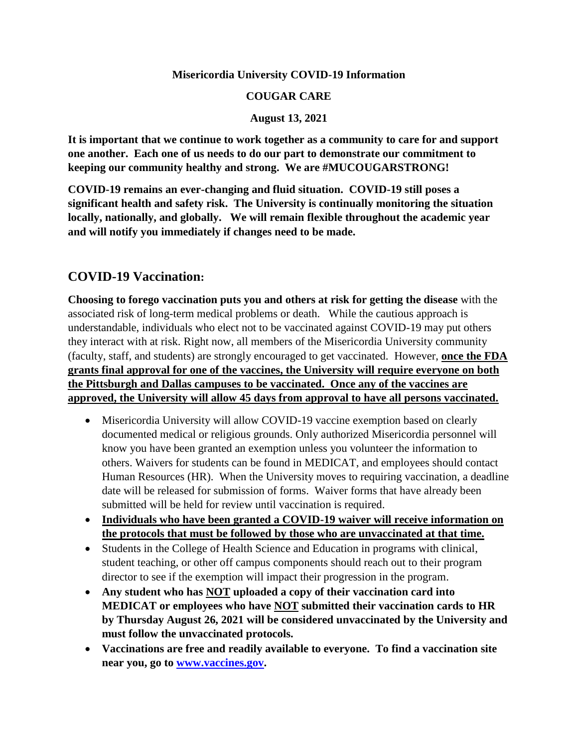#### **Misericordia University COVID-19 Information**

#### **COUGAR CARE**

#### **August 13, 2021**

**It is important that we continue to work together as a community to care for and support one another. Each one of us needs to do our part to demonstrate our commitment to keeping our community healthy and strong. We are #MUCOUGARSTRONG!**

**COVID-19 remains an ever-changing and fluid situation. COVID-19 still poses a significant health and safety risk. The University is continually monitoring the situation locally, nationally, and globally. We will remain flexible throughout the academic year and will notify you immediately if changes need to be made.**

### **COVID-19 Vaccination:**

**Choosing to forego vaccination puts you and others at risk for getting the disease** with the associated risk of long-term medical problems or death. While the cautious approach is understandable, individuals who elect not to be vaccinated against COVID-19 may put others they interact with at risk. Right now, all members of the Misericordia University community (faculty, staff, and students) are strongly encouraged to get vaccinated. However, **once the FDA grants final approval for one of the vaccines, the University will require everyone on both the Pittsburgh and Dallas campuses to be vaccinated. Once any of the vaccines are approved, the University will allow 45 days from approval to have all persons vaccinated.** 

- Misericordia University will allow COVID-19 vaccine exemption based on clearly documented medical or religious grounds. Only authorized Misericordia personnel will know you have been granted an exemption unless you volunteer the information to others. Waivers for students can be found in MEDICAT, and employees should contact Human Resources (HR). When the University moves to requiring vaccination, a deadline date will be released for submission of forms. Waiver forms that have already been submitted will be held for review until vaccination is required.
- **Individuals who have been granted a COVID-19 waiver will receive information on the protocols that must be followed by those who are unvaccinated at that time.**
- Students in the College of Health Science and Education in programs with clinical, student teaching, or other off campus components should reach out to their program director to see if the exemption will impact their progression in the program.
- **Any student who has NOT uploaded a copy of their vaccination card into MEDICAT or employees who have NOT submitted their vaccination cards to HR by Thursday August 26, 2021 will be considered unvaccinated by the University and must follow the unvaccinated protocols.**
- **Vaccinations are free and readily available to everyone. To find a vaccination site near you, go to [www.vaccines.gov.](http://www.vaccines.gov/)**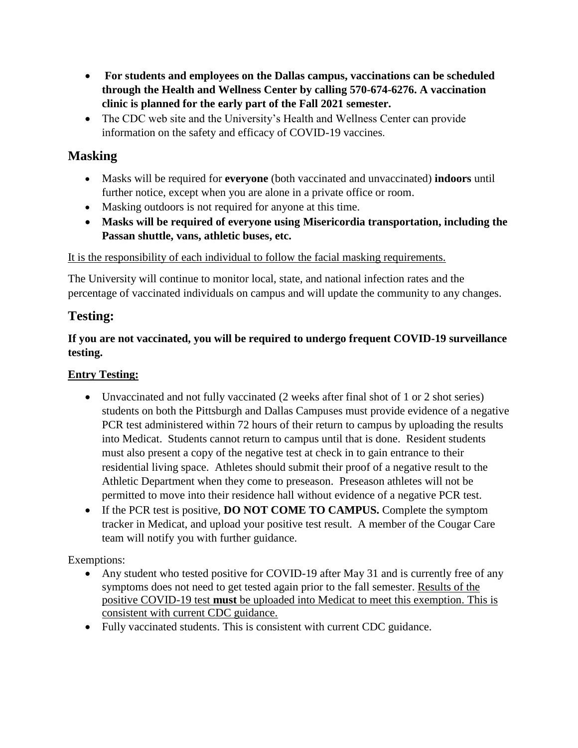- **For students and employees on the Dallas campus, vaccinations can be scheduled through the Health and Wellness Center by calling 570-674-6276. A vaccination clinic is planned for the early part of the Fall 2021 semester.**
- The CDC web site and the University's Health and Wellness Center can provide information on the safety and efficacy of COVID-19 vaccines.

## **Masking**

- Masks will be required for **everyone** (both vaccinated and unvaccinated) **indoors** until further notice, except when you are alone in a private office or room.
- Masking outdoors is not required for anyone at this time.
- **Masks will be required of everyone using Misericordia transportation, including the Passan shuttle, vans, athletic buses, etc.**

#### It is the responsibility of each individual to follow the facial masking requirements.

The University will continue to monitor local, state, and national infection rates and the percentage of vaccinated individuals on campus and will update the community to any changes.

## **Testing:**

#### **If you are not vaccinated, you will be required to undergo frequent COVID-19 surveillance testing.**

#### **Entry Testing:**

- Unvaccinated and not fully vaccinated (2 weeks after final shot of 1 or 2 shot series) students on both the Pittsburgh and Dallas Campuses must provide evidence of a negative PCR test administered within 72 hours of their return to campus by uploading the results into Medicat. Students cannot return to campus until that is done. Resident students must also present a copy of the negative test at check in to gain entrance to their residential living space. Athletes should submit their proof of a negative result to the Athletic Department when they come to preseason. Preseason athletes will not be permitted to move into their residence hall without evidence of a negative PCR test.
- If the PCR test is positive, **DO NOT COME TO CAMPUS.** Complete the symptom tracker in Medicat, and upload your positive test result. A member of the Cougar Care team will notify you with further guidance.

Exemptions:

- Any student who tested positive for COVID-19 after May 31 and is currently free of any symptoms does not need to get tested again prior to the fall semester. Results of the positive COVID-19 test **must** be uploaded into Medicat to meet this exemption. This is consistent with current CDC guidance.
- Fully vaccinated students. This is consistent with current CDC guidance.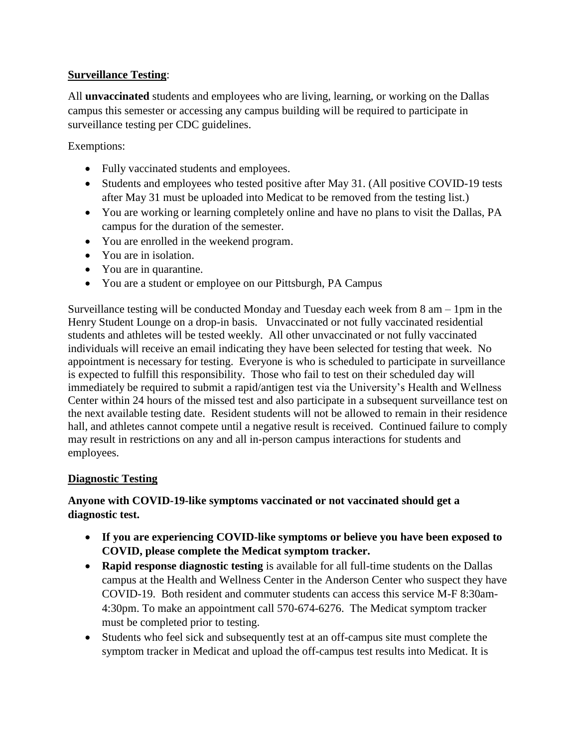#### **Surveillance Testing**:

All **unvaccinated** students and employees who are living, learning, or working on the Dallas campus this semester or accessing any campus building will be required to participate in surveillance testing per CDC guidelines.

Exemptions:

- Fully vaccinated students and employees.
- Students and employees who tested positive after May 31. (All positive COVID-19 tests after May 31 must be uploaded into Medicat to be removed from the testing list.)
- You are working or learning completely online and have no plans to visit the Dallas, PA campus for the duration of the semester.
- You are enrolled in the weekend program.
- You are in isolation.
- You are in quarantine.
- You are a student or employee on our Pittsburgh, PA Campus

Surveillance testing will be conducted Monday and Tuesday each week from 8 am – 1pm in the Henry Student Lounge on a drop-in basis. Unvaccinated or not fully vaccinated residential students and athletes will be tested weekly. All other unvaccinated or not fully vaccinated individuals will receive an email indicating they have been selected for testing that week. No appointment is necessary for testing. Everyone is who is scheduled to participate in surveillance is expected to fulfill this responsibility. Those who fail to test on their scheduled day will immediately be required to submit a rapid/antigen test via the University's Health and Wellness Center within 24 hours of the missed test and also participate in a subsequent surveillance test on the next available testing date. Resident students will not be allowed to remain in their residence hall, and athletes cannot compete until a negative result is received. Continued failure to comply may result in restrictions on any and all in-person campus interactions for students and employees.

#### **Diagnostic Testing**

#### **Anyone with COVID-19-like symptoms vaccinated or not vaccinated should get a diagnostic test.**

- **If you are experiencing COVID-like symptoms or believe you have been exposed to COVID, please complete the Medicat symptom tracker.**
- **Rapid response diagnostic testing** is available for all full-time students on the Dallas campus at the Health and Wellness Center in the Anderson Center who suspect they have COVID-19. Both resident and commuter students can access this service M-F 8:30am-4:30pm. To make an appointment call 570-674-6276. The Medicat symptom tracker must be completed prior to testing.
- Students who feel sick and subsequently test at an off-campus site must complete the symptom tracker in Medicat and upload the off-campus test results into Medicat. It is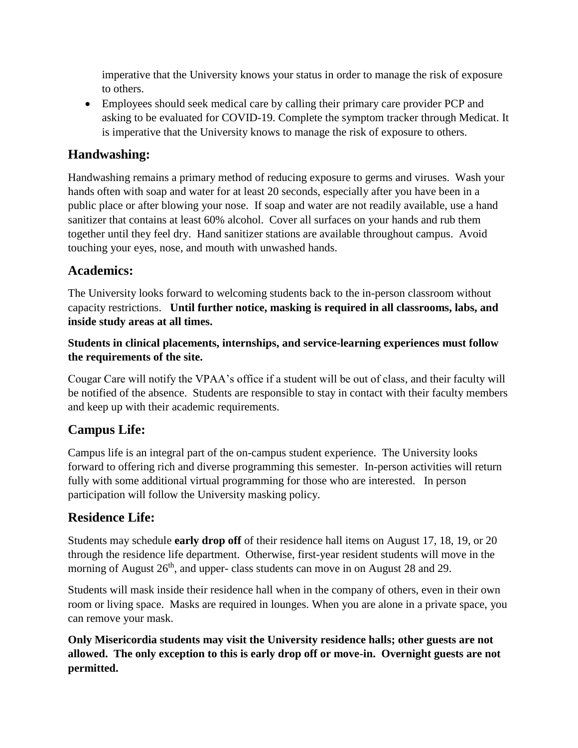imperative that the University knows your status in order to manage the risk of exposure to others.

• Employees should seek medical care by calling their primary care provider PCP and asking to be evaluated for COVID-19. Complete the symptom tracker through Medicat. It is imperative that the University knows to manage the risk of exposure to others.

## **Handwashing:**

Handwashing remains a primary method of reducing exposure to germs and viruses. Wash your hands often with soap and water for at least 20 seconds, especially after you have been in a public place or after blowing your nose. If soap and water are not readily available, use a hand sanitizer that contains at least 60% alcohol. Cover all surfaces on your hands and rub them together until they feel dry. Hand sanitizer stations are available throughout campus. Avoid touching your eyes, nose, and mouth with unwashed hands.

## **Academics:**

The University looks forward to welcoming students back to the in-person classroom without capacity restrictions. **Until further notice, masking is required in all classrooms, labs, and inside study areas at all times.**

#### **Students in clinical placements, internships, and service-learning experiences must follow the requirements of the site.**

Cougar Care will notify the VPAA's office if a student will be out of class, and their faculty will be notified of the absence. Students are responsible to stay in contact with their faculty members and keep up with their academic requirements.

# **Campus Life:**

Campus life is an integral part of the on-campus student experience. The University looks forward to offering rich and diverse programming this semester. In-person activities will return fully with some additional virtual programming for those who are interested. In person participation will follow the University masking policy.

## **Residence Life:**

Students may schedule **early drop off** of their residence hall items on August 17, 18, 19, or 20 through the residence life department. Otherwise, first-year resident students will move in the morning of August  $26<sup>th</sup>$ , and upper- class students can move in on August 28 and 29.

Students will mask inside their residence hall when in the company of others, even in their own room or living space. Masks are required in lounges. When you are alone in a private space, you can remove your mask.

**Only Misericordia students may visit the University residence halls; other guests are not allowed. The only exception to this is early drop off or move-in. Overnight guests are not permitted.**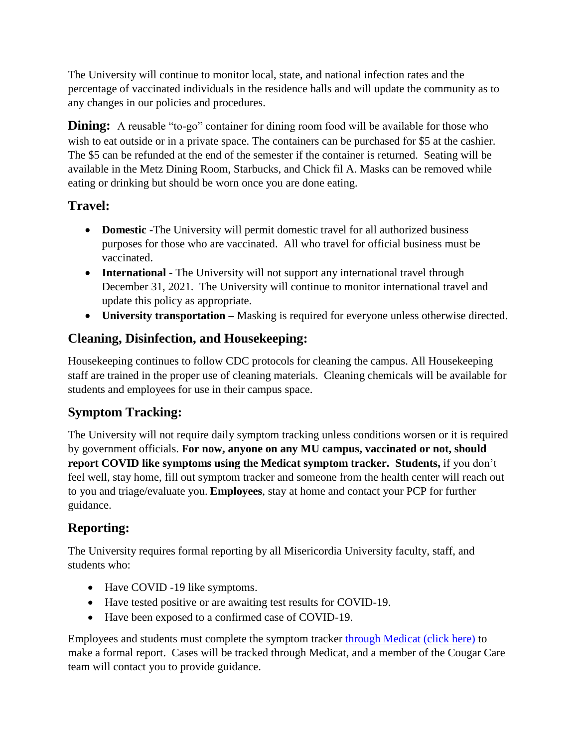The University will continue to monitor local, state, and national infection rates and the percentage of vaccinated individuals in the residence halls and will update the community as to any changes in our policies and procedures.

**Dining:** A reusable "to-go" container for dining room food will be available for those who wish to eat outside or in a private space. The containers can be purchased for \$5 at the cashier. The \$5 can be refunded at the end of the semester if the container is returned. Seating will be available in the Metz Dining Room, Starbucks, and Chick fil A. Masks can be removed while eating or drinking but should be worn once you are done eating.

## **Travel:**

- **Domestic** -The University will permit domestic travel for all authorized business purposes for those who are vaccinated. All who travel for official business must be vaccinated.
- **International** The University will not support any international travel through December 31, 2021. The University will continue to monitor international travel and update this policy as appropriate.
- **University transportation –** Masking is required for everyone unless otherwise directed.

## **Cleaning, Disinfection, and Housekeeping:**

Housekeeping continues to follow CDC protocols for cleaning the campus. All Housekeeping staff are trained in the proper use of cleaning materials. Cleaning chemicals will be available for students and employees for use in their campus space.

# **Symptom Tracking:**

The University will not require daily symptom tracking unless conditions worsen or it is required by government officials. **For now, anyone on any MU campus, vaccinated or not, should report COVID like symptoms using the Medicat symptom tracker. Students,** if you don't feel well, stay home, fill out symptom tracker and someone from the health center will reach out to you and triage/evaluate you. **Employees**, stay at home and contact your PCP for further guidance.

# **Reporting:**

The University requires formal reporting by all Misericordia University faculty, staff, and students who:

- Have COVID -19 like symptoms.
- Have tested positive or are awaiting test results for COVID-19.
- Have been exposed to a confirmed case of COVID-19.

Employees and students must complete the symptom tracker [through Medicat \(click](https://misericordia.medicatconnect.com/status.aspx) here) to make a formal report. Cases will be tracked through Medicat, and a member of the Cougar Care team will contact you to provide guidance.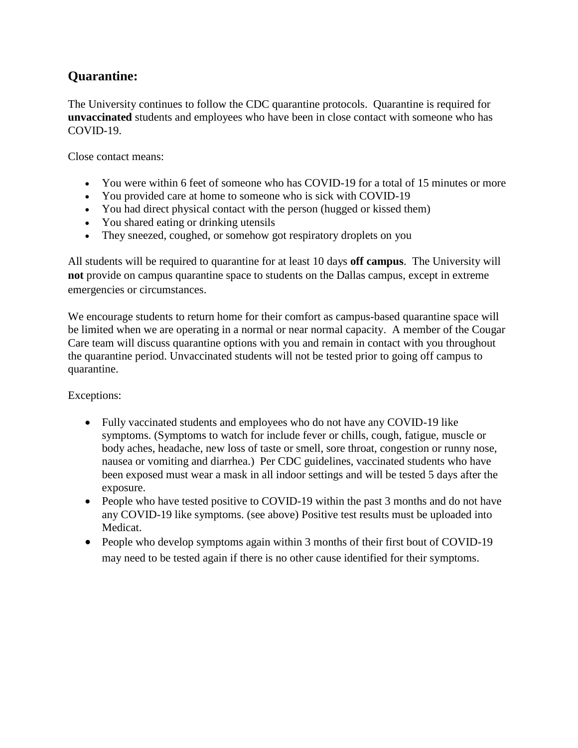### **Quarantine:**

The University continues to follow the CDC quarantine protocols. Quarantine is required for **unvaccinated** students and employees who have been in close contact with someone who has COVID-19.

Close contact means:

- You were within 6 feet of someone who has COVID-19 for a total of 15 minutes or more
- You provided care at home to someone who is sick with COVID-19
- You had direct physical contact with the person (hugged or kissed them)
- You shared eating or drinking utensils
- They sneezed, coughed, or somehow got respiratory droplets on you

All students will be required to quarantine for at least 10 days **off campus**. The University will **not** provide on campus quarantine space to students on the Dallas campus, except in extreme emergencies or circumstances.

We encourage students to return home for their comfort as campus-based quarantine space will be limited when we are operating in a normal or near normal capacity. A member of the Cougar Care team will discuss quarantine options with you and remain in contact with you throughout the quarantine period. Unvaccinated students will not be tested prior to going off campus to quarantine.

Exceptions:

- Fully vaccinated students and employees who do not have any COVID-19 like symptoms. (Symptoms to watch for include fever or chills, cough, fatigue, muscle or body aches, headache, new loss of taste or smell, sore throat, congestion or runny nose, nausea or vomiting and diarrhea.) Per CDC guidelines, vaccinated students who have been exposed must wear a mask in all indoor settings and will be tested 5 days after the exposure.
- People who have tested positive to COVID-19 within the past 3 months and do not have any COVID-19 like symptoms. (see above) Positive test results must be uploaded into Medicat.
- People who develop symptoms again within 3 months of their first bout of COVID-19 may need to be tested again if there is no other cause identified for their symptoms.